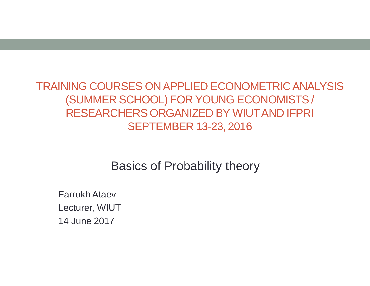TRAINING COURSES ON APPLIED ECONOMETRIC ANALYSIS (SUMMER SCHOOL) FOR YOUNG ECONOMISTS / RESEARCHERS ORGANIZED BY WIUT AND IFPRI SEPTEMBER 13-23, 2016

Basics of Probability theory

Farrukh Ataev Lecturer, WIUT 14 June 2017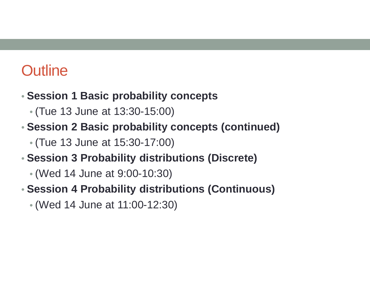## **Outline**

- **Session 1 Basic probability concepts**
	- (Tue 13 June at 13:30-15:00)
- **Session 2 Basic probability concepts (continued)**
	- (Tue 13 June at 15:30-17:00)
- **Session 3 Probability distributions (Discrete)**
	- (Wed 14 June at 9:00-10:30)
- **Session 4 Probability distributions (Continuous)**
	- (Wed 14 June at 11:00-12:30)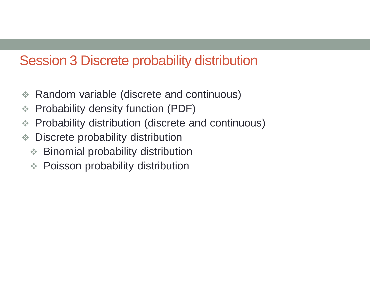### Session 3 Discrete probability distribution

- **★ Random variable (discrete and continuous)**
- **EXA Probability density function (PDF)**
- Probability distribution (discrete and continuous)
- **♦ Discrete probability distribution** 
	- **Example 3** Binomial probability distribution
	- **EXA:** Poisson probability distribution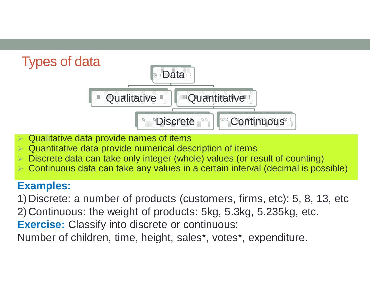

- Qualitative data provide names of items
- $\triangleright$  Quantitative data provide numerical description of items
- Discrete data can take only integer (whole) values (or result of counting)
- Continuous data can take any values in a certain interval (decimal is possible)

#### **Examples:**

1) Discrete: a number of products (customers, firms, etc): 5, 8, 13, etc 2) Continuous: the weight of products: 5kg, 5.3kg, 5.235kg, etc. **Exercise:** Classify into discrete or continuous:

Number of children, time, height, sales\*, votes\*, expenditure.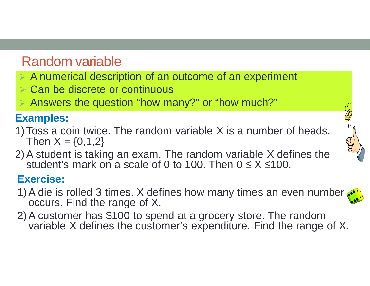## Random variable

- $\triangleright$  A numerical description of an outcome of an experiment
- **► Can be discrete or continuous**
- Answers the question "how many?" or "how much?"

#### **Examples:**

- 1)Toss a coin twice. The random variable X is a number of heads. Then  $X = \{0, 1, 2\}$
- 2)A student is taking an exam. The random variable X defines the student's mark on a scale of 0 to 100. Then  $0 \le X \le 100$ .

#### **Exercise:**

- 1) A die is rolled 3 times. X defines how many times an even number. occurs. Find the range of X.
- 2)A customer has \$100 to spend at a grocery store. The random variable X defines the customer's expenditure. Find the range of X.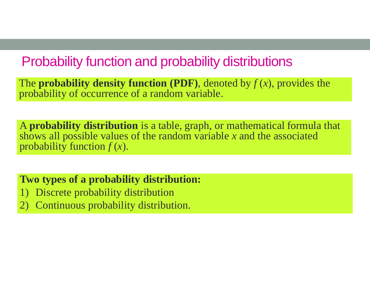### Probability function and probability distributions

The **probability density function (PDF)**, denoted by  $f(x)$ , provides the probability of occurrence of a random variable.

A **probability distribution** is a table, graph, or mathematical formula that shows all possible values of the random variable *x* and the associated probability function *f* (*x*).

**Two types of a probability distribution:** 

- 1) Discrete probability distribution
- 2) Continuous probability distribution.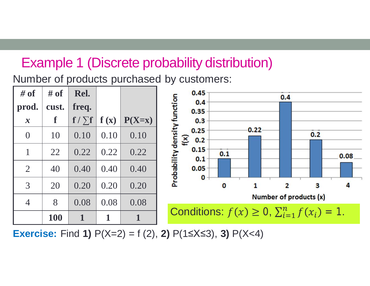## Example 1 (Discrete probability distribution)

Number of products purchased by customers:



**Exercise:** Find **1)**  $P(X=2) = f(2)$ , **2)**  $P(1 \le X \le 3)$ , **3)**  $P(X<4)$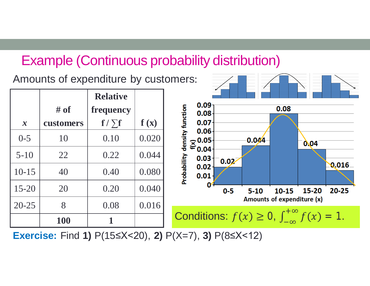### Example (Continuous probability distribution)

Amounts of expenditure by customers:  $\frac{1}{\sqrt{2\pi}}$ 

|               |           | <b>Relative</b>  |       |                                       |                                                                  |          |                            |           |       |  |  |  |  |  |
|---------------|-----------|------------------|-------|---------------------------------------|------------------------------------------------------------------|----------|----------------------------|-----------|-------|--|--|--|--|--|
|               | # of      | <b>frequency</b> |       | 0.09<br>0.08                          |                                                                  |          | 0.08                       |           |       |  |  |  |  |  |
| $\mathcal{X}$ | customers | $f / \sum f$     | f(x)  | function<br>0.07                      |                                                                  |          |                            |           |       |  |  |  |  |  |
| $0 - 5$       | 10        | 0.10             | 0.020 | 0.06<br>density<br>$\sum_{0.04} 0.05$ |                                                                  | 0.044    |                            | 0.04      |       |  |  |  |  |  |
| $5 - 10$      | 22        | 0.22             | 0.044 | 0.03                                  | 0.02                                                             |          |                            |           |       |  |  |  |  |  |
| $10-15$       | 40        | 0.40             | 0.080 | Probability<br>0.02<br>0.01           |                                                                  |          |                            |           | 0.016 |  |  |  |  |  |
| $15 - 20$     | 20        | 0.20             | 0.040 | O                                     | $0-5$                                                            | $5 - 10$ | 10-15                      | $15 - 20$ | 20-25 |  |  |  |  |  |
| $20 - 25$     | 8         | 0.08             | 0.016 |                                       |                                                                  |          | Amounts of expenditure (x) |           |       |  |  |  |  |  |
|               | 100       |                  |       |                                       | Conditions: $f(x) \ge 0$ , $\int_{-\infty}^{+\infty} f(x) = 1$ . |          |                            |           |       |  |  |  |  |  |
|               |           |                  |       |                                       |                                                                  |          |                            |           |       |  |  |  |  |  |

**Exercise:** Find **1)** P(15≤X<20), **2)** P(X=7), **3)** P(8≤X<12)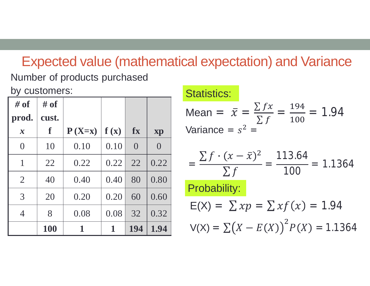# Expected value (mathematical expectation) and Variance

Number of products purchased by customers:

| $\#$ of                    | # of  |          |      |                |                |
|----------------------------|-------|----------|------|----------------|----------------|
| prod.                      | cust. |          |      |                |                |
| $\boldsymbol{\mathcal{X}}$ | f     | $P(X=x)$ | f(x) | fx             | xp             |
| $\overline{0}$             | 10    | 0.10     | 0.10 | $\overline{0}$ | $\overline{0}$ |
| $\mathbf{1}$               | 22    | 0.22     | 0.22 | 22             | 0.22           |
| $\overline{2}$             | 40    | 0.40     | 0.40 | 80             | 0.80           |
| $\overline{3}$             | 20    | 0.20     | 0.20 | 60             | 0.60           |
| 4                          | 8     | 0.08     | 0.08 | 32             | 0.32           |
|                            | 100   | 1        | 1    | 194            | 1.94           |

### Statistics:

Mean = 
$$
\bar{x} = \frac{\sum fx}{\sum f} = \frac{194}{100} = 1.94
$$
  
Variance =  $s^2 =$ 

$$
= \frac{\sum f \cdot (x - \bar{x})^2}{\sum f} = \frac{113.64}{100} = 1.1364
$$
  
Probability:  
E(X) =  $\sum xp = \sum xf(x) = 1.94$   
 $V(X) = \sum (X - E(X))^2 P(X) = 1.1364$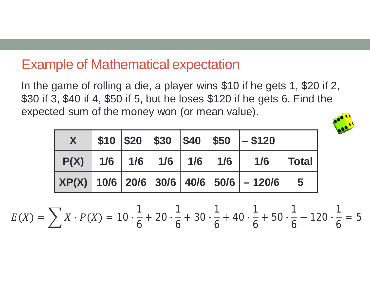### Example of Mathematical expectation

In the game of rolling a die, a player wins \$10 if he gets 1, \$20 if 2, \$30 if 3, \$40 if 4, \$50 if 5, but he loses \$120 if he gets 6. Find the expected sum of the money won (or mean value).



|  |  |  | $\parallel$ \$10   \$20   \$30   \$40   \$50   - \$120                   |  |
|--|--|--|--------------------------------------------------------------------------|--|
|  |  |  | $P(X)$ 1/6 1/6 1/6 1/6 1/6 1/6 1/6 1/6 Total                             |  |
|  |  |  | $ $ XP(X) $ $ 10/6 $ $ 20/6 $ $ 30/6 $ $ 40/6 $ $ 50/6 $ $ - 120/6 $ $ 5 |  |

 $E(X) = \sum X \cdot P(X) = 10 \cdot$ 1 6  $+20 \cdot$ 1 6  $+30 \cdot$ 1 6  $+$  40 $\cdot$ 1 6  $+50 \cdot$ 1 6  $-120 \cdot$ 1 6  $= 5$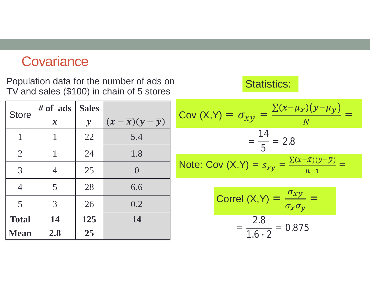### **Covariance**

Population data for the number of ads on TV and sales (\$100) in chain of 5 stores

| <b>Store</b>   | $#$ of ads     | <b>Sales</b> |                                    |
|----------------|----------------|--------------|------------------------------------|
|                | $\mathbf{x}$   | $\mathbf{y}$ | $(x-\overline{x})(y-\overline{y})$ |
| $\mathbf{1}$   | 1              | 22           | 5.4                                |
| $\overline{2}$ | 1              | 24           | 1.8                                |
| $\overline{3}$ | $\overline{4}$ | 25           | $\left( \right)$                   |
| $\overline{4}$ | 5              | 28           | 6.6                                |
| 5              | 3              | 26           | 0.2                                |
| <b>Total</b>   | 14             | 125          | 14                                 |
| <b>Mean</b>    | 2.8            | 25           |                                    |

Cov  $(X,Y) = \sigma_{xy}$  =  $\sum (x - \mu_X)(y - \mu_Y)$ N<sub>1</sub> = = 14 5  $= 2.8$ Note: Cov  $(X,Y) = s_{xy} =$  $\sum (x - \bar{x})(y - \bar{y})$  $n-1$ =

Statistics:

$$
Correl (X,Y) = \frac{\sigma_{xy}}{\sigma_x \sigma_y} =
$$

$$
= \frac{2.8}{1.6 \cdot 2} = 0.875
$$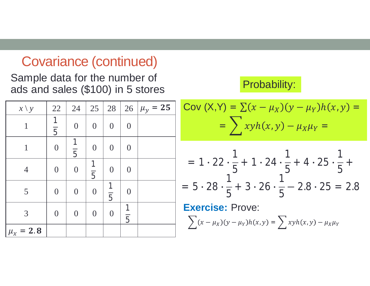### Covariance (continued)

Sample data for the number of ads and sales (\$100) in 5 stores

| $x \setminus y$ | 22                  | 24                  | 25                  | 28                  |                                | 26 $\mu_y = 25$ |
|-----------------|---------------------|---------------------|---------------------|---------------------|--------------------------------|-----------------|
| 1               | 1<br>$\overline{5}$ | $\theta$            | $\overline{0}$      | $\overline{0}$      | $\theta$                       |                 |
| $\mathbf{1}$    | $\overline{0}$      | 1<br>$\overline{5}$ | $\theta$            | $\overline{0}$      | $\theta$                       |                 |
| $\overline{4}$  | $\boldsymbol{0}$    | $\overline{0}$      | 1<br>$\overline{5}$ | $\overline{0}$      | $\theta$                       |                 |
| 5               | $\overline{0}$      | $\overline{0}$      | $\overline{0}$      | 1<br>$\overline{5}$ | $\Omega$                       |                 |
| 3               | $\boldsymbol{0}$    | $\overline{0}$      | $\overline{0}$      | $\overline{0}$      | $\mathbf{1}$<br>$\overline{5}$ |                 |
| $\mu_{x} = 2.8$ |                     |                     |                     |                     |                                |                 |

#### Probability:

$$
Cov (X,Y) = \sum (x - \mu_X)(y - \mu_Y)h(x,y) = \\ = \sum xyh(x,y) - \mu_X\mu_Y =
$$

$$
= 1 \cdot 22 \cdot \frac{1}{5} + 1 \cdot 24 \cdot \frac{1}{5} + 4 \cdot 25 \cdot \frac{1}{5} +
$$
  
= 5 \cdot 28 \cdot \frac{1}{5} + 3 \cdot 26 \cdot \frac{1}{5} - 2.8 \cdot 25 = 2.8

**Exercise:** Prove:  $\sum_{i}(x - \mu_X)(y - \mu_Y)h(x, y) = \sum_{i}xyh(x, y) - \mu_X\mu_Y$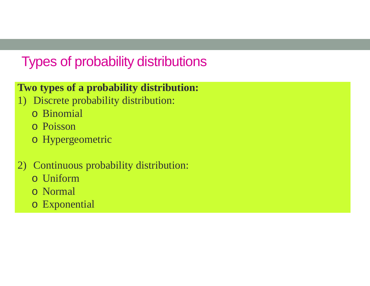## Types of probability distributions

#### **Two types of a probability distribution:**

- 1) Discrete probability distribution:
	- o Binomial
	- o Poisson
	- o Hypergeometric
- 2) Continuous probability distribution:
	- o Uniform
	- o Normal
	- o Exponential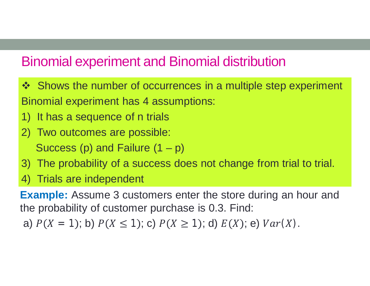### Binomial experiment and Binomial distribution

- ❖ Shows the number of occurrences in a multiple step experiment Binomial experiment has 4 assumptions:
- 1) It has a sequence of n trials
- 2) Two outcomes are possible:

Success (p) and Failure  $(1 - p)$ 

- 3) The probability of a success does not change from trial to trial.
- 4) Trials are independent

**Example:** Assume 3 customers enter the store during an hour and the probability of customer purchase is 0.3. Find:

a)  $P(X = 1)$ ; b)  $P(X \le 1)$ ; c)  $P(X \ge 1)$ ; d)  $E(X)$ ; e)  $Var(X)$ .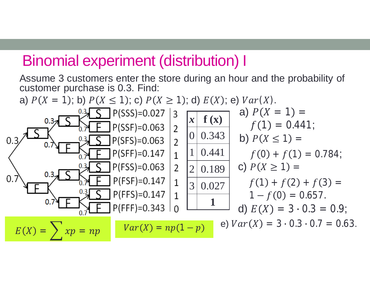## Binomial experiment (distribution) I

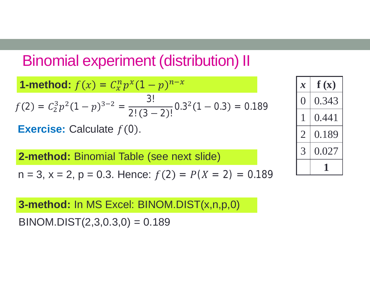# Binomial experiment (distribution) II

**1-method:** 
$$
f(x) = C_x^n p^x (1-p)^{n-x}
$$
  
\n $f(2) = C_2^3 p^2 (1-p)^{3-2} = \frac{3!}{2!(3-2)!} 0.3^2 (1-0.3) = 0.189$ 

**Exercise:** Calculate  $f(0)$ .

**2-method:** Binomial Table (see next slide)

$$
n = 3
$$
,  $x = 2$ ,  $p = 0.3$ . Hence:  $f(2) = P(X = 2) = 0.189$ 

$$
Cce: f(2) = P(X = 2) = 0.189
$$

**3-method:** In MS Excel: BINOM.DIST(x,n,p,0)

 $BINOM.DIST(2,3,0.3,0) = 0.189$ 

| $\bm{\mathcal{X}}$          | $\mathbf{f}\left(\mathbf{x}\right)$ |
|-----------------------------|-------------------------------------|
|                             | 0.343                               |
|                             | 0.441                               |
| $\mathcal{D}_{\mathcal{A}}$ | 0.189                               |
| 3                           | 0.027                               |
|                             |                                     |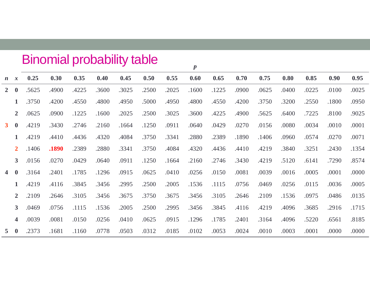|                         | <b>Binomial probability table</b> |       |       |       |       |       |       |                  |       |       |       |       |       |       |       |       |
|-------------------------|-----------------------------------|-------|-------|-------|-------|-------|-------|------------------|-------|-------|-------|-------|-------|-------|-------|-------|
|                         |                                   |       |       |       |       |       |       | $\boldsymbol{p}$ |       |       |       |       |       |       |       |       |
| $\boldsymbol{n}$        | $\boldsymbol{x}$                  | 0.25  | 0.30  | 0.35  | 0.40  | 0.45  | 0.50  | 0.55             | 0.60  | 0.65  | 0.70  | 0.75  | 0.80  | 0.85  | 0.90  | 0.95  |
| $\overline{2}$          | $\bf{0}$                          | .5625 | .4900 | .4225 | .3600 | .3025 | .2500 | .2025            | .1600 | .1225 | .0900 | .0625 | .0400 | .0225 | .0100 | .0025 |
|                         | $\mathbf{1}$                      | .3750 | .4200 | .4550 | .4800 | .4950 | .5000 | .4950            | .4800 | .4550 | .4200 | .3750 | .3200 | .2550 | .1800 | .0950 |
|                         | $\overline{2}$                    | .0625 | .0900 | .1225 | .1600 | .2025 | .2500 | .3025            | .3600 | .4225 | .4900 | .5625 | .6400 | .7225 | .8100 | .9025 |
| 3 <sup>1</sup>          | $\bf{0}$                          | .4219 | .3430 | .2746 | .2160 | .1664 | .1250 | .0911            | .0640 | .0429 | .0270 | .0156 | .0080 | .0034 | .0010 | .0001 |
|                         | $\mathbf{1}$                      | .4219 | .4410 | .4436 | .4320 | .4084 | .3750 | .3341            | .2880 | .2389 | .1890 | .1406 | .0960 | .0574 | .0270 | .0071 |
|                         | $\overline{2}$                    | .1406 | .1890 | .2389 | .2880 | .3341 | .3750 | .4084            | .4320 | .4436 | .4410 | .4219 | .3840 | .3251 | .2430 | .1354 |
|                         | $\mathbf{3}$                      | .0156 | .0270 | .0429 | .0640 | .0911 | .1250 | .1664            | .2160 | .2746 | .3430 | .4219 | .5120 | .6141 | .7290 | .8574 |
| $\overline{\mathbf{4}}$ | $\bf{0}$                          | .3164 | .2401 | .1785 | .1296 | .0915 | .0625 | .0410            | .0256 | .0150 | .0081 | .0039 | .0016 | .0005 | .0001 | .0000 |
|                         | $\mathbf 1$                       | .4219 | .4116 | .3845 | .3456 | .2995 | .2500 | .2005            | .1536 | .1115 | .0756 | .0469 | .0256 | .0115 | .0036 | .0005 |
|                         | $\overline{2}$                    | .2109 | .2646 | .3105 | .3456 | .3675 | .3750 | .3675            | .3456 | .3105 | .2646 | .2109 | .1536 | .0975 | .0486 | .0135 |
|                         | $\mathbf{3}$                      | .0469 | .0756 | .1115 | .1536 | .2005 | .2500 | .2995            | .3456 | .3845 | .4116 | .4219 | .4096 | .3685 | .2916 | .1715 |
|                         | $\overline{\mathbf{4}}$           | .0039 | .0081 | .0150 | .0256 | .0410 | .0625 | .0915            | .1296 | .1785 | .2401 | .3164 | .4096 | .5220 | .6561 | .8185 |
| 5 <sup>5</sup>          | $\mathbf 0$                       | .2373 | .1681 | .1160 | .0778 | .0503 | .0312 | .0185            | .0102 | .0053 | .0024 | .0010 | .0003 | .0001 | .0000 | .0000 |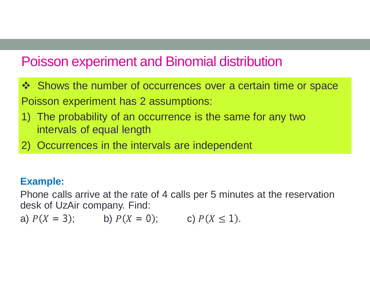## Poisson experiment and Binomial distribution

- ❖ Shows the number of occurrences over a certain time or space Poisson experiment has 2 assumptions:
- 1) The probability of an occurrence is the same for any two intervals of equal length
- 2) Occurrences in the intervals are independent

#### **Example:**

Phone calls arrive at the rate of 4 calls per 5 minutes at the reservation desk of UzAir company. Find:

a)  $P(X = 3)$ ; b)  $P(X = 0)$ ; c)  $P(X \le 1)$ .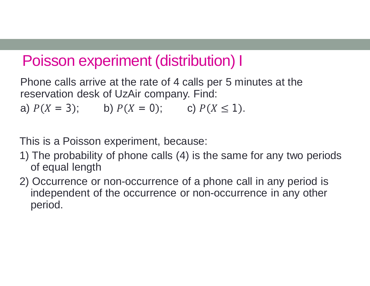# Poisson experiment (distribution) I

Phone calls arrive at the rate of 4 calls per 5 minutes at the reservation desk of UzAir company. Find: a)  $P(X = 3)$ ; b)  $P(X = 0)$ ; c)  $P(X \le 1)$ .

This is a Poisson experiment, because:

- 1) The probability of phone calls (4) is the same for any two periods of equal length
- 2) Occurrence or non-occurrence of a phone call in any period is independent of the occurrence or non-occurrence in any other period.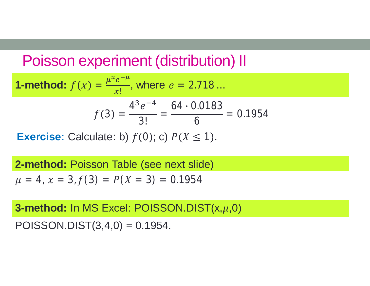# Poisson experiment (distribution) II

**1-method:** 
$$
f(x) = \frac{\mu^x e^{-\mu}}{x!}
$$
, where  $e = 2.718...$ 

$$
f(3) = \frac{4^3 e^{-4}}{3!} = \frac{64 \cdot 0.0183}{6} = 0.1954
$$

**Exercise:** Calculate: b)  $f(0)$ ; c)  $P(X \le 1)$ .

**2-method:** Poisson Table (see next slide)  $\mu = 4$ ,  $x = 3$ ,  $f(3) = P(X = 3) = 0.1954$ 

**3-method:** In MS Excel: POISSON.DIST(x, $\mu$ ,0)

POISSON.DIST $(3,4,0) = 0.1954$ .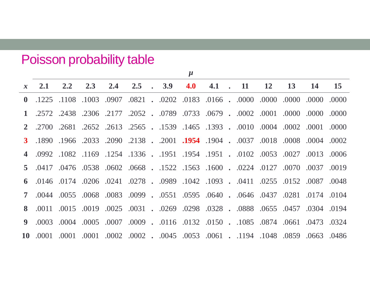## Poisson probability table

|   |                                                                                                |                                                                                     |     |     |               |             | $\mu$ |  |                    |           |           |           |    |
|---|------------------------------------------------------------------------------------------------|-------------------------------------------------------------------------------------|-----|-----|---------------|-------------|-------|--|--------------------|-----------|-----------|-----------|----|
|   | $x \quad 2.1$                                                                                  | 2.2                                                                                 | 2.3 | 2.4 | $2.5^{\circ}$ | $\cdot$ 3.9 |       |  | 4.0 4.1 $\cdot$ 11 | <b>12</b> | <b>13</b> | <b>14</b> | 15 |
|   | 0.000 0.000 0.000 0.000 0.000 . 6160 0.0166 0.020 . 1280 0.000 0.001 0.011. 1225 . 0           |                                                                                     |     |     |               |             |       |  |                    |           |           |           |    |
|   | 1 .2572 .2438 .2306 .002 .0733 .0679 .0733 .0679 .0002 .0000 .0000 .2572 .2572 .17             |                                                                                     |     |     |               |             |       |  |                    |           |           |           |    |
|   | 0000. 0010. 002. 0010. 0010. 0010. 1393. 1465. 1539. 2565. 2613. 2652. 2700. 2                 |                                                                                     |     |     |               |             |       |  |                    |           |           |           |    |
|   | 0002. 0004. 0008. 0008. 0007. 0014. 002. 002. . 2018. 0909. 2033. 0966. 091. 3.                |                                                                                     |     |     |               |             |       |  |                    |           |           |           |    |
|   | 0006. 0013. 0027. 0013. 0006. 1951. 1954. 1951. 1954. 1954. 1082. 1082. 0992. 4                |                                                                                     |     |     |               |             |       |  |                    |           |           |           |    |
|   | 019. 070. 070. 070. 1210. 224. 0668. 1522. 1563. 0668. 0670. 0417. 0417. 5.                    |                                                                                     |     |     |               |             |       |  |                    |           |           |           |    |
|   | 048. 0152 0.087 0.048 0.041 0.0255 0.041 0.0259 0.0278 0.0278 0.048 0.041 0.048                |                                                                                     |     |     |               |             |       |  |                    |           |           |           |    |
|   | 0104. 0714. 0281. 083. 0640. 0640. 0595. 0640. 0640. 0646. 0551. 0044. 0055. 0044. 0055. 0099. |                                                                                     |     |     |               |             |       |  |                    |           |           |           |    |
|   | 8 0.019 0.0304 0.031 0.0298 0.0328 0.0328 0.0328 0.0328 0.011 0.015 0.019 0.031 0.019          |                                                                                     |     |     |               |             |       |  |                    |           |           |           |    |
| 9 |                                                                                                | .024. 0324. 0661. 0661. 0661. 0510. 0150. 0116. 0116. 0009. 0007. 0003. 0004. 0003. |     |     |               |             |       |  |                    |           |           |           |    |
|   | 10. 0663. 6669. 1194. 1048. 10859. 1094. 1094. 1094. 1000. 1000. 1000. 1000. 1000. 1000. 10    |                                                                                     |     |     |               |             |       |  |                    |           |           |           |    |